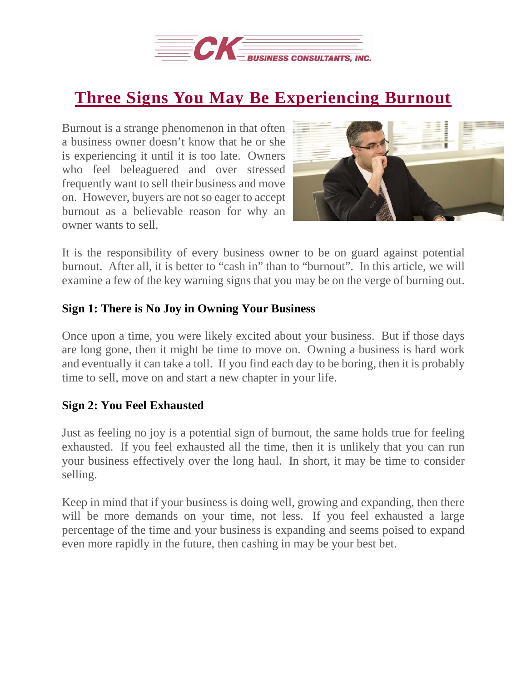

## **Three Signs You May Be [Experiencing](https://deal-studio.com/three-signs-may-experiencing-burnout/) Burnout**

Burnout is a strange phenomenon in that often a business owner doesn't know that he or she is experiencing it until it is too late. Owners who feel beleaguered and over stressed frequently want to sell their business and move on. However, buyers are not so eager to accept burnout as a believable reason for why an owner wants to sell.



It is the responsibility of every business owner to be on guard against potential burnout. After all, it is better to "cash in" than to "burnout". In this article, we will examine a few of the key warning signs that you may be on the verge of burning out.

## **Sign 1: There is No Joy in Owning Your Business**

Once upon a time, you were likely excited about your business. But if those days are long gone, then it might be time to move on. Owning a business is hard work and eventually it can take a toll. If you find each day to be boring, then it is probably time to sell, move on and start a new chapter in your life.

## **Sign 2: You Feel Exhausted**

Just as feeling no joy is a potential sign of burnout, the same holds true for feeling exhausted. If you feel exhausted all the time, then it is unlikely that you can run your business effectively over the long haul. In short, it may be time to consider selling.

Keep in mind that if your business is doing well, growing and expanding, then there will be more demands on your time, not less. If you feel exhausted a large percentage of the time and your business is expanding and seems poised to expand even more rapidly in the future, then cashing in may be your best bet.